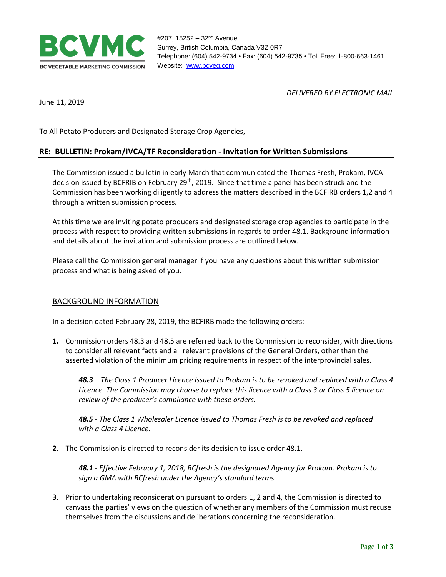

*DELIVERED BY ELECTRONIC MAIL*

June 11, 2019

To All Potato Producers and Designated Storage Crop Agencies,

## **RE: BULLETIN: Prokam/IVCA/TF Reconsideration - Invitation for Written Submissions**

The Commission issued a bulletin in early March that communicated the Thomas Fresh, Prokam, IVCA decision issued by BCFRIB on February 29<sup>th</sup>, 2019. Since that time a panel has been struck and the Commission has been working diligently to address the matters described in the BCFIRB orders 1,2 and 4 through a written submission process.

At this time we are inviting potato producers and designated storage crop agencies to participate in the process with respect to providing written submissions in regards to order 48.1. Background information and details about the invitation and submission process are outlined below.

Please call the Commission general manager if you have any questions about this written submission process and what is being asked of you.

## BACKGROUND INFORMATION

In a decision dated February 28, 2019, the BCFIRB made the following orders:

**1.** Commission orders 48.3 and 48.5 are referred back to the Commission to reconsider, with directions to consider all relevant facts and all relevant provisions of the General Orders, other than the asserted violation of the minimum pricing requirements in respect of the interprovincial sales.

*48.3 – The Class 1 Producer Licence issued to Prokam is to be revoked and replaced with a Class 4 Licence. The Commission may choose to replace this licence with a Class 3 or Class 5 licence on review of the producer's compliance with these orders.*

*48.5 - The Class 1 Wholesaler Licence issued to Thomas Fresh is to be revoked and replaced with a Class 4 Licence.*

**2.** The Commission is directed to reconsider its decision to issue order 48.1.

*48.1 - Effective February 1, 2018, BCfresh is the designated Agency for Prokam. Prokam is to sign a GMA with BCfresh under the Agency's standard terms.*

**3.** Prior to undertaking reconsideration pursuant to orders 1, 2 and 4, the Commission is directed to canvass the parties' views on the question of whether any members of the Commission must recuse themselves from the discussions and deliberations concerning the reconsideration.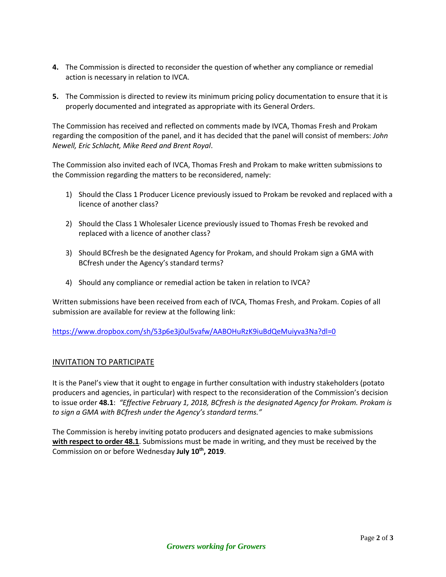- **4.** The Commission is directed to reconsider the question of whether any compliance or remedial action is necessary in relation to IVCA.
- **5.** The Commission is directed to review its minimum pricing policy documentation to ensure that it is properly documented and integrated as appropriate with its General Orders.

The Commission has received and reflected on comments made by IVCA, Thomas Fresh and Prokam regarding the composition of the panel, and it has decided that the panel will consist of members: *John Newell, Eric Schlacht, Mike Reed and Brent Royal*.

The Commission also invited each of IVCA, Thomas Fresh and Prokam to make written submissions to the Commission regarding the matters to be reconsidered, namely:

- 1) Should the Class 1 Producer Licence previously issued to Prokam be revoked and replaced with a licence of another class?
- 2) Should the Class 1 Wholesaler Licence previously issued to Thomas Fresh be revoked and replaced with a licence of another class?
- 3) Should BCfresh be the designated Agency for Prokam, and should Prokam sign a GMA with BCfresh under the Agency's standard terms?
- 4) Should any compliance or remedial action be taken in relation to IVCA?

Written submissions have been received from each of IVCA, Thomas Fresh, and Prokam. Copies of all submission are available for review at the following link:

<https://www.dropbox.com/sh/53p6e3j0ul5vafw/AABOHuRzK9iuBdQeMuiyva3Na?dl=0>

## INVITATION TO PARTICIPATE

It is the Panel's view that it ought to engage in further consultation with industry stakeholders (potato producers and agencies, in particular) with respect to the reconsideration of the Commission's decision to issue order **48.1**: *"Effective February 1, 2018, BCfresh is the designated Agency for Prokam. Prokam is to sign a GMA with BCfresh under the Agency's standard terms."*

The Commission is hereby inviting potato producers and designated agencies to make submissions **with respect to order 48.1**. Submissions must be made in writing, and they must be received by the Commission on or before Wednesday **July 10th, 2019**.